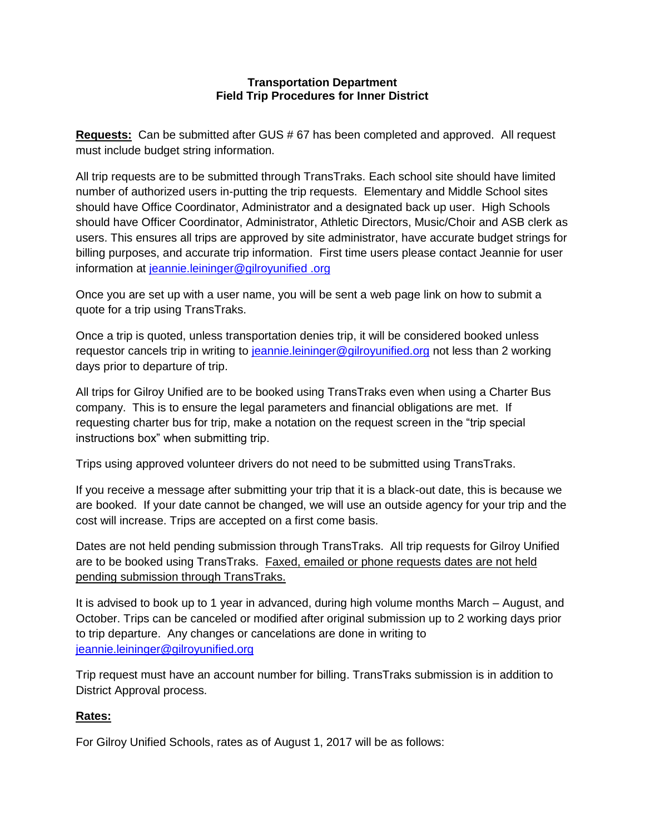#### **Transportation Department Field Trip Procedures for Inner District**

**Requests:** Can be submitted after GUS # 67 has been completed and approved. All request must include budget string information.

All trip requests are to be submitted through TransTraks. Each school site should have limited number of authorized users in-putting the trip requests. Elementary and Middle School sites should have Office Coordinator, Administrator and a designated back up user. High Schools should have Officer Coordinator, Administrator, Athletic Directors, Music/Choir and ASB clerk as users. This ensures all trips are approved by site administrator, have accurate budget strings for billing purposes, and accurate trip information. First time users please contact Jeannie for user information at [jeannie.leininger@gilroyunified .org](file:///C:/Users/lhuerta/Downloads/jeannie.leininger@gilroyunified%20.org) 

Once you are set up with a user name, you will be sent a web page link on how to submit a quote for a trip using TransTraks.

Once a trip is quoted, unless transportation denies trip, it will be considered booked unless requestor cancels trip in writing to [jeannie.leininger@gilroyunified.org](file:///C:/Users/lhuerta/Downloads/jeannie.leininger@gilroyunified.org) not less than 2 working days prior to departure of trip.

All trips for Gilroy Unified are to be booked using TransTraks even when using a Charter Bus company. This is to ensure the legal parameters and financial obligations are met. If requesting charter bus for trip, make a notation on the request screen in the "trip special instructions box" when submitting trip.

Trips using approved volunteer drivers do not need to be submitted using TransTraks.

If you receive a message after submitting your trip that it is a black-out date, this is because we are booked. If your date cannot be changed, we will use an outside agency for your trip and the cost will increase. Trips are accepted on a first come basis.

Dates are not held pending submission through TransTraks. All trip requests for Gilroy Unified are to be booked using TransTraks. Faxed, emailed or phone requests dates are not held pending submission through TransTraks.

It is advised to book up to 1 year in advanced, during high volume months March – August, and October. Trips can be canceled or modified after original submission up to 2 working days prior to trip departure. Any changes or cancelations are done in writing to [jeannie.leininger@gilroyunified.org](mailto:jeannie.leininger@gilroyunified.org)

Trip request must have an account number for billing. TransTraks submission is in addition to District Approval process.

# **Rates:**

For Gilroy Unified Schools, rates as of August 1, 2017 will be as follows: